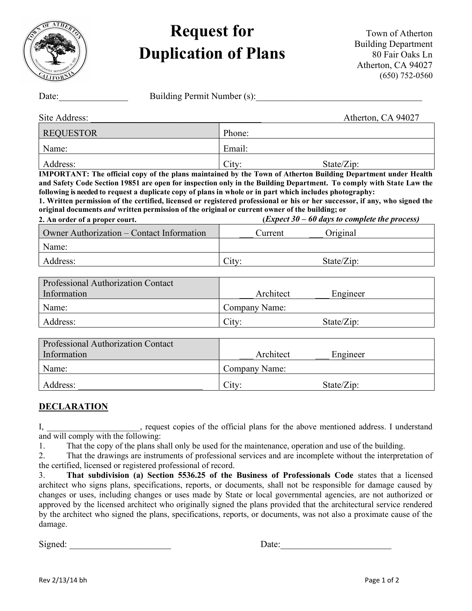

## Request for Duplication of Plans

Town of Atherton Building Department 80 Fair Oaks Ln Atherton, CA 94027 (650) 752-0560

| Building Permit Number (s):<br>Date:                                                                                                                                                                                                                                                                                                                                                                                                                                                                      |        |                            |                                                   |
|-----------------------------------------------------------------------------------------------------------------------------------------------------------------------------------------------------------------------------------------------------------------------------------------------------------------------------------------------------------------------------------------------------------------------------------------------------------------------------------------------------------|--------|----------------------------|---------------------------------------------------|
| Site Address:                                                                                                                                                                                                                                                                                                                                                                                                                                                                                             |        |                            | Atherton, CA 94027                                |
| <b>REQUESTOR</b>                                                                                                                                                                                                                                                                                                                                                                                                                                                                                          | Phone: |                            |                                                   |
| Name:                                                                                                                                                                                                                                                                                                                                                                                                                                                                                                     | Email: |                            |                                                   |
| Address:<br><b>IMPORTANT: The official copy of the plans maintained by the Town of Atherton Building Department under Health</b>                                                                                                                                                                                                                                                                                                                                                                          | City:  |                            | State/Zip:                                        |
| and Safety Code Section 19851 are open for inspection only in the Building Department. To comply with State Law the<br>following is needed to request a duplicate copy of plans in whole or in part which includes photography:<br>1. Written permission of the certified, licensed or registered professional or his or her successor, if any, who signed the<br>original documents <i>and</i> written permission of the original or current owner of the building; or<br>2. An order of a proper court. |        |                            | $(Expected 30 - 60 days to complete the process)$ |
| Owner Authorization – Contact Information                                                                                                                                                                                                                                                                                                                                                                                                                                                                 |        | Current                    | Original                                          |
| Name:                                                                                                                                                                                                                                                                                                                                                                                                                                                                                                     |        |                            |                                                   |
| Address:                                                                                                                                                                                                                                                                                                                                                                                                                                                                                                  | City:  |                            | State/Zip:                                        |
| Professional Authorization Contact<br>Information                                                                                                                                                                                                                                                                                                                                                                                                                                                         |        | Architect                  | Engineer                                          |
| Name:                                                                                                                                                                                                                                                                                                                                                                                                                                                                                                     |        | Company Name:              |                                                   |
| Address:                                                                                                                                                                                                                                                                                                                                                                                                                                                                                                  | City:  |                            | State/Zip:                                        |
| Professional Authorization Contact<br>Information<br>Name:                                                                                                                                                                                                                                                                                                                                                                                                                                                |        | Architect<br>Company Name: | Engineer                                          |
|                                                                                                                                                                                                                                                                                                                                                                                                                                                                                                           |        |                            |                                                   |

## **DECLARATION**

I, \_\_\_\_\_\_\_\_\_\_\_\_\_\_\_\_\_\_, request copies of the official plans for the above mentioned address. I understand and will comply with the following:

1. That the copy of the plans shall only be used for the maintenance, operation and use of the building.

Address:  $\qquad \qquad$  City: State/Zip:

2. That the drawings are instruments of professional services and are incomplete without the interpretation of the certified, licensed or registered professional of record.

3. That subdivision (a) Section 5536.25 of the Business of Professionals Code states that a licensed architect who signs plans, specifications, reports, or documents, shall not be responsible for damage caused by changes or uses, including changes or uses made by State or local governmental agencies, are not authorized or approved by the licensed architect who originally signed the plans provided that the architectural service rendered by the architect who signed the plans, specifications, reports, or documents, was not also a proximate cause of the damage.

Signed:  $\Box$